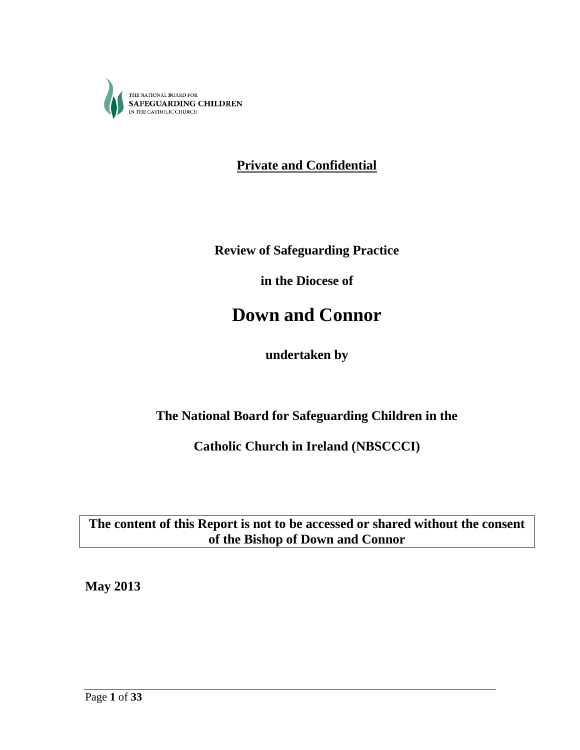

**Private and Confidential**

**Review of Safeguarding Practice**

**in the Diocese of**

# **Down and Connor**

**undertaken by**

**The National Board for Safeguarding Children in the**

**Catholic Church in Ireland (NBSCCCI)**

**The content of this Report is not to be accessed or shared without the consent of the Bishop of Down and Connor**

**May 2013**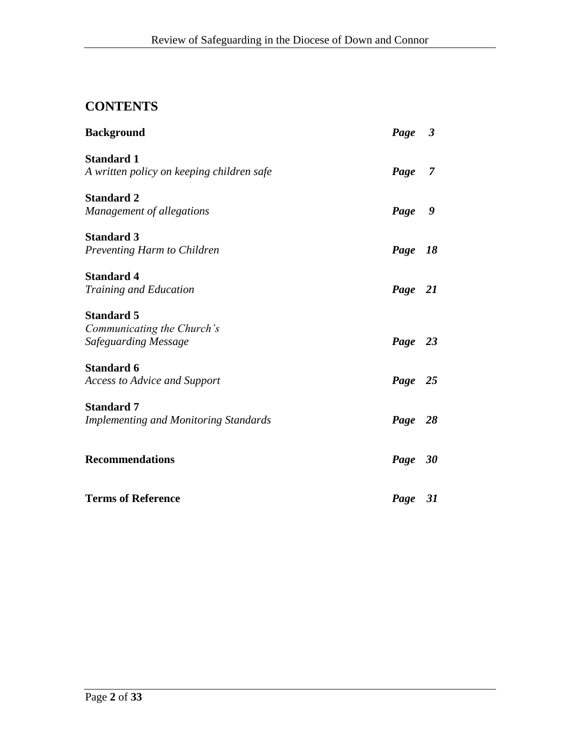# **CONTENTS**

| <b>Background</b>                                                       | Page 3  |                |
|-------------------------------------------------------------------------|---------|----------------|
| <b>Standard 1</b><br>A written policy on keeping children safe          | Page    | $\overline{7}$ |
| <b>Standard 2</b><br>Management of allegations                          | Page 9  |                |
| <b>Standard 3</b><br>Preventing Harm to Children                        | Page 18 |                |
| <b>Standard 4</b><br>Training and Education                             | Page 21 |                |
| <b>Standard 5</b><br>Communicating the Church's<br>Safeguarding Message | Page 23 |                |
| <b>Standard 6</b><br><b>Access to Advice and Support</b>                | Page 25 |                |
| <b>Standard 7</b><br><b>Implementing and Monitoring Standards</b>       | Page 28 |                |
| <b>Recommendations</b>                                                  | Page 30 |                |
| <b>Terms of Reference</b>                                               | Page 31 |                |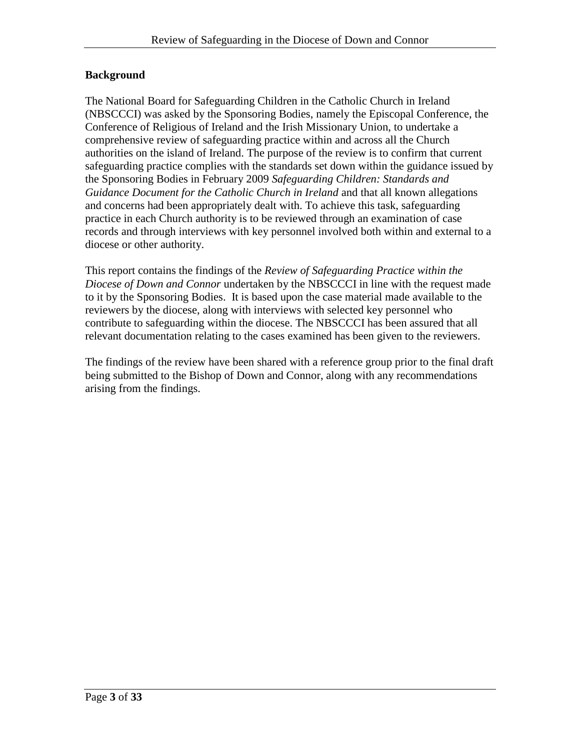# **Background**

The National Board for Safeguarding Children in the Catholic Church in Ireland (NBSCCCI) was asked by the Sponsoring Bodies, namely the Episcopal Conference, the Conference of Religious of Ireland and the Irish Missionary Union, to undertake a comprehensive review of safeguarding practice within and across all the Church authorities on the island of Ireland. The purpose of the review is to confirm that current safeguarding practice complies with the standards set down within the guidance issued by the Sponsoring Bodies in February 2009 *Safeguarding Children: Standards and Guidance Document for the Catholic Church in Ireland* and that all known allegations and concerns had been appropriately dealt with. To achieve this task, safeguarding practice in each Church authority is to be reviewed through an examination of case records and through interviews with key personnel involved both within and external to a diocese or other authority.

This report contains the findings of the *Review of Safeguarding Practice within the Diocese of Down and Connor* undertaken by the NBSCCCI in line with the request made to it by the Sponsoring Bodies. It is based upon the case material made available to the reviewers by the diocese, along with interviews with selected key personnel who contribute to safeguarding within the diocese. The NBSCCCI has been assured that all relevant documentation relating to the cases examined has been given to the reviewers.

The findings of the review have been shared with a reference group prior to the final draft being submitted to the Bishop of Down and Connor, along with any recommendations arising from the findings.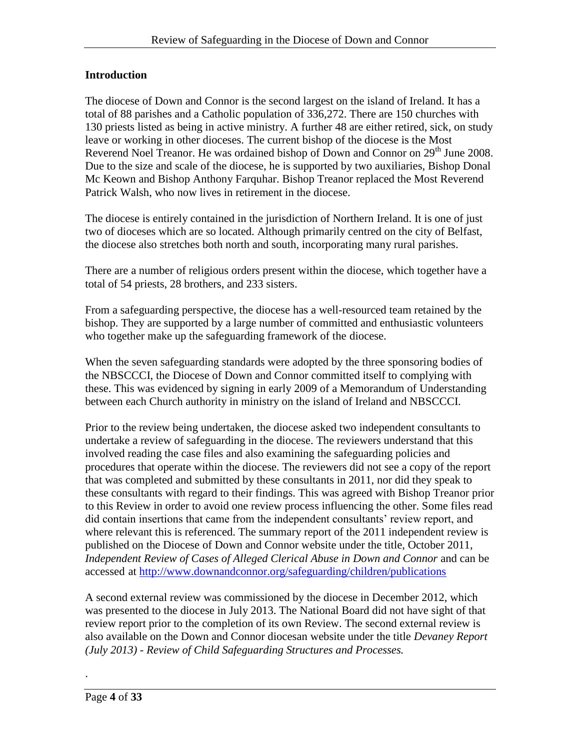# **Introduction**

The diocese of Down and Connor is the second largest on the island of Ireland. It has a total of 88 parishes and a Catholic population of 336,272. There are 150 churches with 130 priests listed as being in active ministry. A further 48 are either retired, sick, on study leave or working in other dioceses. The current bishop of the diocese is the Most Reverend Noel Treanor. He was ordained bishop of Down and Connor on 29<sup>th</sup> June 2008. Due to the size and scale of the diocese, he is supported by two auxiliaries, Bishop Donal Mc Keown and Bishop Anthony Farquhar. Bishop Treanor replaced the Most Reverend Patrick Walsh, who now lives in retirement in the diocese.

The diocese is entirely contained in the jurisdiction of Northern Ireland. It is one of just two of dioceses which are so located. Although primarily centred on the city of Belfast, the diocese also stretches both north and south, incorporating many rural parishes.

There are a number of religious orders present within the diocese, which together have a total of 54 priests, 28 brothers, and 233 sisters.

From a safeguarding perspective, the diocese has a well-resourced team retained by the bishop. They are supported by a large number of committed and enthusiastic volunteers who together make up the safeguarding framework of the diocese.

When the seven safeguarding standards were adopted by the three sponsoring bodies of the NBSCCCI, the Diocese of Down and Connor committed itself to complying with these. This was evidenced by signing in early 2009 of a Memorandum of Understanding between each Church authority in ministry on the island of Ireland and NBSCCCI.

Prior to the review being undertaken, the diocese asked two independent consultants to undertake a review of safeguarding in the diocese. The reviewers understand that this involved reading the case files and also examining the safeguarding policies and procedures that operate within the diocese. The reviewers did not see a copy of the report that was completed and submitted by these consultants in 2011, nor did they speak to these consultants with regard to their findings. This was agreed with Bishop Treanor prior to this Review in order to avoid one review process influencing the other. Some files read did contain insertions that came from the independent consultants' review report, and where relevant this is referenced. The summary report of the 2011 independent review is published on the Diocese of Down and Connor website under the title, October 2011, *Independent Review of Cases of Alleged Clerical Abuse in Down and Connor* and can be accessed at<http://www.downandconnor.org/safeguarding/children/publications>

A second external review was commissioned by the diocese in December 2012, which was presented to the diocese in July 2013. The National Board did not have sight of that review report prior to the completion of its own Review. The second external review is also available on the Down and Connor diocesan website under the title *Devaney Report (July 2013) - Review of Child Safeguarding Structures and Processes.*

.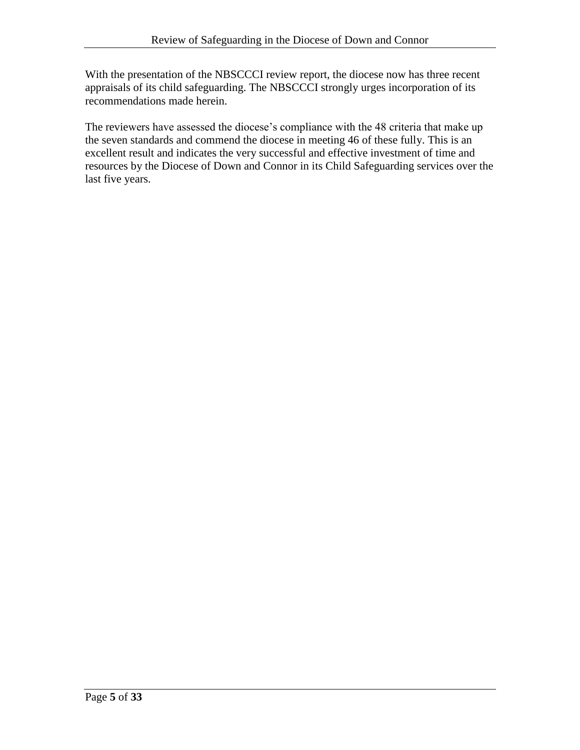With the presentation of the NBSCCCI review report, the diocese now has three recent appraisals of its child safeguarding. The NBSCCCI strongly urges incorporation of its recommendations made herein.

The reviewers have assessed the diocese's compliance with the 48 criteria that make up the seven standards and commend the diocese in meeting 46 of these fully. This is an excellent result and indicates the very successful and effective investment of time and resources by the Diocese of Down and Connor in its Child Safeguarding services over the last five years.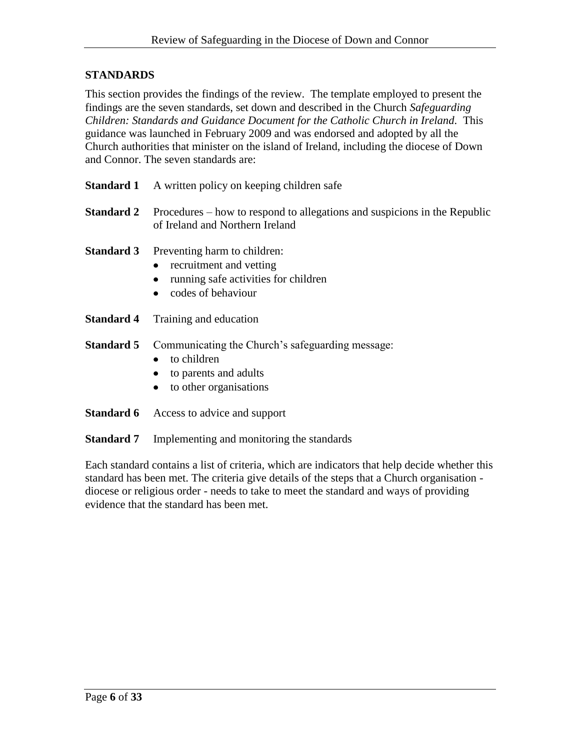# **STANDARDS**

This section provides the findings of the review. The template employed to present the findings are the seven standards, set down and described in the Church *Safeguarding Children: Standards and Guidance Document for the Catholic Church in Ireland.* This guidance was launched in February 2009 and was endorsed and adopted by all the Church authorities that minister on the island of Ireland, including the diocese of Down and Connor. The seven standards are:

| <b>Standard 1</b> | A written policy on keeping children safe                                                                                 |
|-------------------|---------------------------------------------------------------------------------------------------------------------------|
| <b>Standard 2</b> | Procedures – how to respond to allegations and suspicions in the Republic<br>of Ireland and Northern Ireland              |
| <b>Standard 3</b> | Preventing harm to children:<br>• recruitment and vetting<br>• running safe activities for children<br>codes of behaviour |
|                   | <b>Standard 4</b> Training and education                                                                                  |
|                   |                                                                                                                           |

- **Standard 5** Communicating the Church's safeguarding message:
	- to children  $\bullet$
	- to parents and adults  $\bullet$
	- to other organisations  $\bullet$
- **Standard 6** Access to advice and support
- **Standard 7** Implementing and monitoring the standards

Each standard contains a list of criteria, which are indicators that help decide whether this standard has been met. The criteria give details of the steps that a Church organisation diocese or religious order - needs to take to meet the standard and ways of providing evidence that the standard has been met.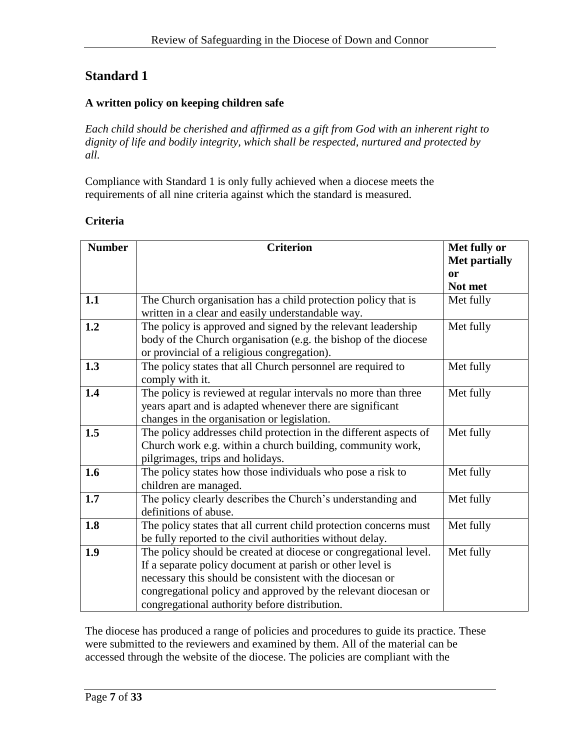# **A written policy on keeping children safe**

*Each child should be cherished and affirmed as a gift from God with an inherent right to dignity of life and bodily integrity, which shall be respected, nurtured and protected by all.*

Compliance with Standard 1 is only fully achieved when a diocese meets the requirements of all nine criteria against which the standard is measured.

### **Criteria**

| <b>Number</b> | <b>Criterion</b>                                                                                                                                                                                                                                                                                             | Met fully or<br>Met partially |
|---------------|--------------------------------------------------------------------------------------------------------------------------------------------------------------------------------------------------------------------------------------------------------------------------------------------------------------|-------------------------------|
|               |                                                                                                                                                                                                                                                                                                              | or                            |
|               |                                                                                                                                                                                                                                                                                                              | Not met                       |
| 1.1           | The Church organisation has a child protection policy that is<br>written in a clear and easily understandable way.                                                                                                                                                                                           | Met fully                     |
| 1.2           | The policy is approved and signed by the relevant leadership<br>body of the Church organisation (e.g. the bishop of the diocese<br>or provincial of a religious congregation).                                                                                                                               | Met fully                     |
| 1.3           | The policy states that all Church personnel are required to<br>comply with it.                                                                                                                                                                                                                               | Met fully                     |
| 1.4           | The policy is reviewed at regular intervals no more than three<br>years apart and is adapted whenever there are significant<br>changes in the organisation or legislation.                                                                                                                                   | Met fully                     |
| 1.5           | The policy addresses child protection in the different aspects of<br>Church work e.g. within a church building, community work,<br>pilgrimages, trips and holidays.                                                                                                                                          | Met fully                     |
| 1.6           | The policy states how those individuals who pose a risk to<br>children are managed.                                                                                                                                                                                                                          | Met fully                     |
| 1.7           | The policy clearly describes the Church's understanding and<br>definitions of abuse.                                                                                                                                                                                                                         | Met fully                     |
| 1.8           | The policy states that all current child protection concerns must<br>be fully reported to the civil authorities without delay.                                                                                                                                                                               | Met fully                     |
| 1.9           | The policy should be created at diocese or congregational level.<br>If a separate policy document at parish or other level is<br>necessary this should be consistent with the diocesan or<br>congregational policy and approved by the relevant diocesan or<br>congregational authority before distribution. | Met fully                     |

The diocese has produced a range of policies and procedures to guide its practice. These were submitted to the reviewers and examined by them. All of the material can be accessed through the website of the diocese. The policies are compliant with the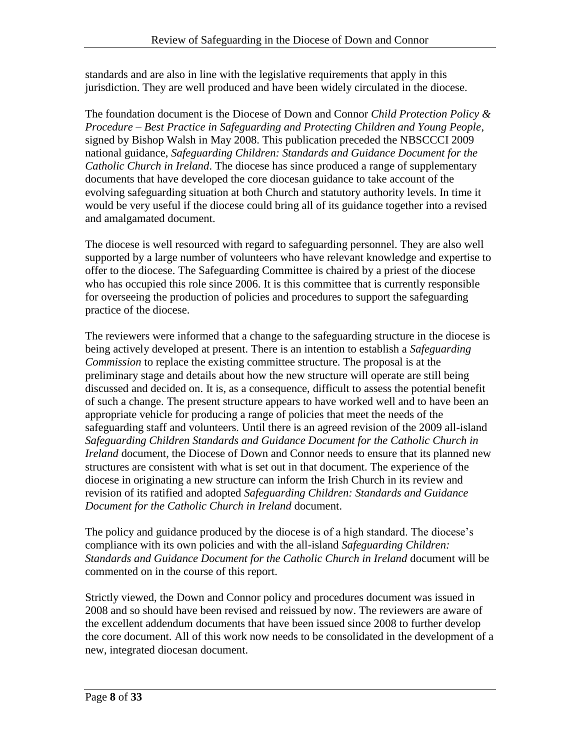standards and are also in line with the legislative requirements that apply in this jurisdiction. They are well produced and have been widely circulated in the diocese.

The foundation document is the Diocese of Down and Connor *Child Protection Policy & Procedure – Best Practice in Safeguarding and Protecting Children and Young People*, signed by Bishop Walsh in May 2008. This publication preceded the NBSCCCI 2009 national guidance, *Safeguarding Children: Standards and Guidance Document for the Catholic Church in Ireland*. The diocese has since produced a range of supplementary documents that have developed the core diocesan guidance to take account of the evolving safeguarding situation at both Church and statutory authority levels. In time it would be very useful if the diocese could bring all of its guidance together into a revised and amalgamated document.

The diocese is well resourced with regard to safeguarding personnel. They are also well supported by a large number of volunteers who have relevant knowledge and expertise to offer to the diocese. The Safeguarding Committee is chaired by a priest of the diocese who has occupied this role since 2006. It is this committee that is currently responsible for overseeing the production of policies and procedures to support the safeguarding practice of the diocese.

The reviewers were informed that a change to the safeguarding structure in the diocese is being actively developed at present. There is an intention to establish a *Safeguarding Commission* to replace the existing committee structure. The proposal is at the preliminary stage and details about how the new structure will operate are still being discussed and decided on. It is, as a consequence, difficult to assess the potential benefit of such a change. The present structure appears to have worked well and to have been an appropriate vehicle for producing a range of policies that meet the needs of the safeguarding staff and volunteers. Until there is an agreed revision of the 2009 all-island *Safeguarding Children Standards and Guidance Document for the Catholic Church in Ireland* document, the Diocese of Down and Connor needs to ensure that its planned new structures are consistent with what is set out in that document. The experience of the diocese in originating a new structure can inform the Irish Church in its review and revision of its ratified and adopted *Safeguarding Children: Standards and Guidance Document for the Catholic Church in Ireland* document.

The policy and guidance produced by the diocese is of a high standard. The diocese's compliance with its own policies and with the all-island *Safeguarding Children: Standards and Guidance Document for the Catholic Church in Ireland* document will be commented on in the course of this report.

Strictly viewed, the Down and Connor policy and procedures document was issued in 2008 and so should have been revised and reissued by now. The reviewers are aware of the excellent addendum documents that have been issued since 2008 to further develop the core document. All of this work now needs to be consolidated in the development of a new, integrated diocesan document.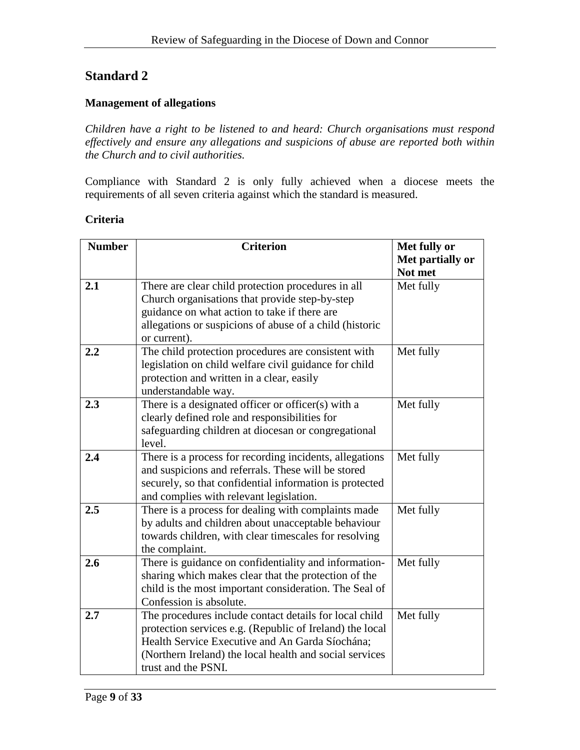### **Management of allegations**

*Children have a right to be listened to and heard: Church organisations must respond effectively and ensure any allegations and suspicions of abuse are reported both within the Church and to civil authorities.*

Compliance with Standard 2 is only fully achieved when a diocese meets the requirements of all seven criteria against which the standard is measured.

| Criteria |  |
|----------|--|
|          |  |

| <b>Number</b> | <b>Criterion</b>                                         | Met fully or     |
|---------------|----------------------------------------------------------|------------------|
|               |                                                          | Met partially or |
|               |                                                          | Not met          |
| 2.1           | There are clear child protection procedures in all       | Met fully        |
|               | Church organisations that provide step-by-step           |                  |
|               | guidance on what action to take if there are             |                  |
|               | allegations or suspicions of abuse of a child (historic  |                  |
|               | or current).                                             |                  |
| 2.2           | The child protection procedures are consistent with      | Met fully        |
|               | legislation on child welfare civil guidance for child    |                  |
|               | protection and written in a clear, easily                |                  |
|               | understandable way.                                      |                  |
| 2.3           | There is a designated officer or officer(s) with a       | Met fully        |
|               | clearly defined role and responsibilities for            |                  |
|               | safeguarding children at diocesan or congregational      |                  |
|               | level.                                                   |                  |
| 2.4           | There is a process for recording incidents, allegations  | Met fully        |
|               | and suspicions and referrals. These will be stored       |                  |
|               | securely, so that confidential information is protected  |                  |
|               | and complies with relevant legislation.                  |                  |
| 2.5           | There is a process for dealing with complaints made      | Met fully        |
|               | by adults and children about unacceptable behaviour      |                  |
|               | towards children, with clear timescales for resolving    |                  |
|               | the complaint.                                           |                  |
| 2.6           | There is guidance on confidentiality and information-    | Met fully        |
|               | sharing which makes clear that the protection of the     |                  |
|               | child is the most important consideration. The Seal of   |                  |
|               | Confession is absolute.                                  |                  |
| 2.7           | The procedures include contact details for local child   | Met fully        |
|               | protection services e.g. (Republic of Ireland) the local |                  |
|               | Health Service Executive and An Garda Síochána;          |                  |
|               | (Northern Ireland) the local health and social services  |                  |
|               | trust and the PSNI.                                      |                  |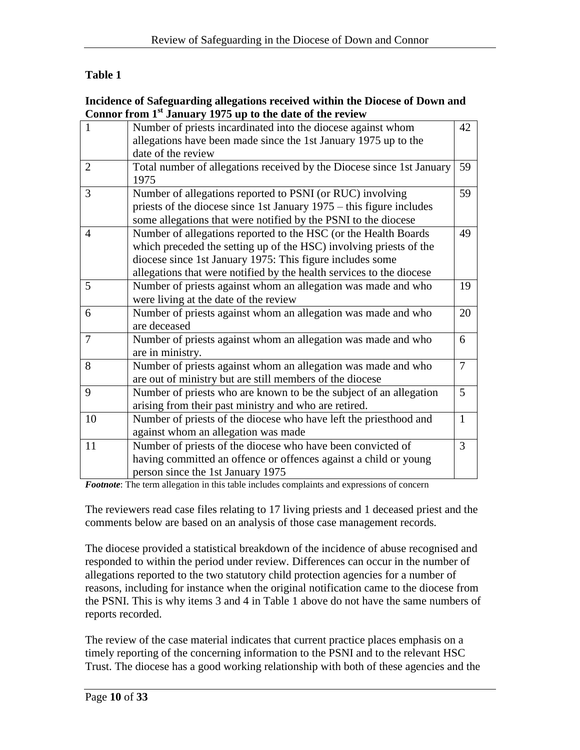# **Table 1**

### **Incidence of Safeguarding allegations received within the Diocese of Down and Connor from 1st January 1975 up to the date of the review**

|                | $\frac{1}{2}$ and $\frac{1}{2}$ and $\frac{1}{2}$ is the value of the restriction |                |
|----------------|-----------------------------------------------------------------------------------|----------------|
| $\mathbf{1}$   | Number of priests incardinated into the diocese against whom                      | 42             |
|                | allegations have been made since the 1st January 1975 up to the                   |                |
|                | date of the review                                                                |                |
| $\overline{2}$ | Total number of allegations received by the Diocese since 1st January             | 59             |
|                | 1975                                                                              |                |
| 3              | Number of allegations reported to PSNI (or RUC) involving                         | 59             |
|                | priests of the diocese since 1st January $1975 -$ this figure includes            |                |
|                | some allegations that were notified by the PSNI to the diocese                    |                |
| 4              | Number of allegations reported to the HSC (or the Health Boards                   | 49             |
|                | which preceded the setting up of the HSC) involving priests of the                |                |
|                | diocese since 1st January 1975: This figure includes some                         |                |
|                | allegations that were notified by the health services to the diocese              |                |
| 5              | Number of priests against whom an allegation was made and who                     | 19             |
|                | were living at the date of the review                                             |                |
| 6              | Number of priests against whom an allegation was made and who                     | 20             |
|                | are deceased                                                                      |                |
| 7              | Number of priests against whom an allegation was made and who                     | 6              |
|                | are in ministry.                                                                  |                |
| 8              | Number of priests against whom an allegation was made and who                     | $\overline{7}$ |
|                | are out of ministry but are still members of the diocese                          |                |
| 9              | Number of priests who are known to be the subject of an allegation                | 5              |
|                | arising from their past ministry and who are retired.                             |                |
| 10             | Number of priests of the diocese who have left the priesthood and                 | $\mathbf{1}$   |
|                | against whom an allegation was made                                               |                |
| 11             | Number of priests of the diocese who have been convicted of                       | 3              |
|                | having committed an offence or offences against a child or young                  |                |
|                | person since the 1st January 1975                                                 |                |
|                |                                                                                   |                |

*Footnote*: The term allegation in this table includes complaints and expressions of concern

The reviewers read case files relating to 17 living priests and 1 deceased priest and the comments below are based on an analysis of those case management records*.* 

The diocese provided a statistical breakdown of the incidence of abuse recognised and responded to within the period under review. Differences can occur in the number of allegations reported to the two statutory child protection agencies for a number of reasons, including for instance when the original notification came to the diocese from the PSNI. This is why items 3 and 4 in Table 1 above do not have the same numbers of reports recorded.

The review of the case material indicates that current practice places emphasis on a timely reporting of the concerning information to the PSNI and to the relevant HSC Trust. The diocese has a good working relationship with both of these agencies and the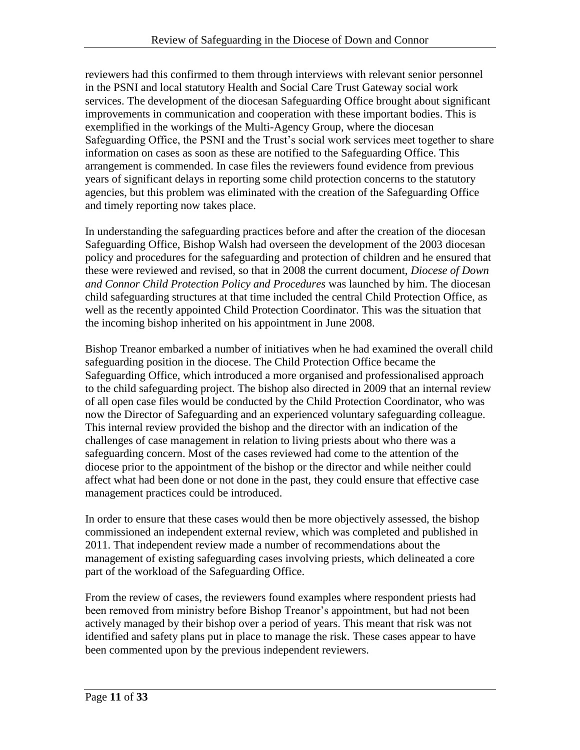reviewers had this confirmed to them through interviews with relevant senior personnel in the PSNI and local statutory Health and Social Care Trust Gateway social work services. The development of the diocesan Safeguarding Office brought about significant improvements in communication and cooperation with these important bodies. This is exemplified in the workings of the Multi-Agency Group, where the diocesan Safeguarding Office, the PSNI and the Trust's social work services meet together to share information on cases as soon as these are notified to the Safeguarding Office. This arrangement is commended. In case files the reviewers found evidence from previous years of significant delays in reporting some child protection concerns to the statutory agencies, but this problem was eliminated with the creation of the Safeguarding Office and timely reporting now takes place.

In understanding the safeguarding practices before and after the creation of the diocesan Safeguarding Office, Bishop Walsh had overseen the development of the 2003 diocesan policy and procedures for the safeguarding and protection of children and he ensured that these were reviewed and revised, so that in 2008 the current document, *Diocese of Down and Connor Child Protection Policy and Procedures* was launched by him. The diocesan child safeguarding structures at that time included the central Child Protection Office, as well as the recently appointed Child Protection Coordinator. This was the situation that the incoming bishop inherited on his appointment in June 2008.

Bishop Treanor embarked a number of initiatives when he had examined the overall child safeguarding position in the diocese. The Child Protection Office became the Safeguarding Office, which introduced a more organised and professionalised approach to the child safeguarding project. The bishop also directed in 2009 that an internal review of all open case files would be conducted by the Child Protection Coordinator, who was now the Director of Safeguarding and an experienced voluntary safeguarding colleague. This internal review provided the bishop and the director with an indication of the challenges of case management in relation to living priests about who there was a safeguarding concern. Most of the cases reviewed had come to the attention of the diocese prior to the appointment of the bishop or the director and while neither could affect what had been done or not done in the past, they could ensure that effective case management practices could be introduced.

In order to ensure that these cases would then be more objectively assessed, the bishop commissioned an independent external review, which was completed and published in 2011. That independent review made a number of recommendations about the management of existing safeguarding cases involving priests, which delineated a core part of the workload of the Safeguarding Office.

From the review of cases, the reviewers found examples where respondent priests had been removed from ministry before Bishop Treanor's appointment, but had not been actively managed by their bishop over a period of years. This meant that risk was not identified and safety plans put in place to manage the risk. These cases appear to have been commented upon by the previous independent reviewers.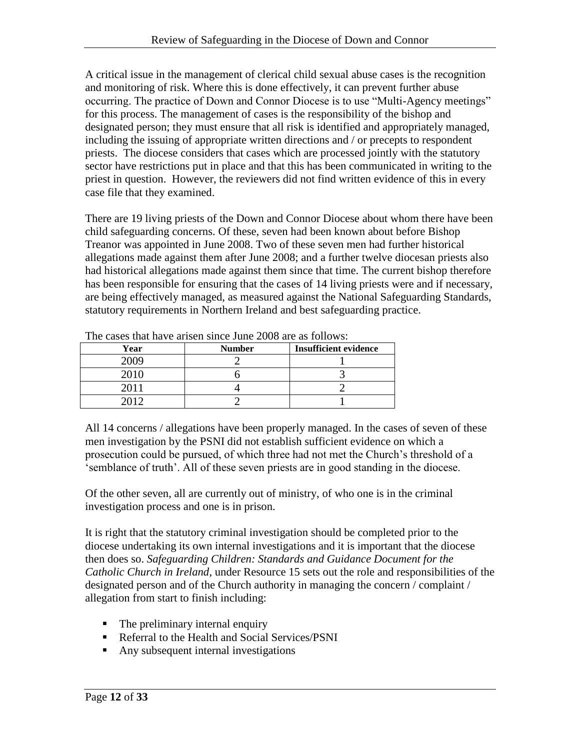A critical issue in the management of clerical child sexual abuse cases is the recognition and monitoring of risk. Where this is done effectively, it can prevent further abuse occurring. The practice of Down and Connor Diocese is to use "Multi-Agency meetings" for this process. The management of cases is the responsibility of the bishop and designated person; they must ensure that all risk is identified and appropriately managed, including the issuing of appropriate written directions and / or precepts to respondent priests. The diocese considers that cases which are processed jointly with the statutory sector have restrictions put in place and that this has been communicated in writing to the priest in question. However, the reviewers did not find written evidence of this in every case file that they examined.

There are 19 living priests of the Down and Connor Diocese about whom there have been child safeguarding concerns. Of these, seven had been known about before Bishop Treanor was appointed in June 2008. Two of these seven men had further historical allegations made against them after June 2008; and a further twelve diocesan priests also had historical allegations made against them since that time. The current bishop therefore has been responsible for ensuring that the cases of 14 living priests were and if necessary, are being effectively managed, as measured against the National Safeguarding Standards, statutory requirements in Northern Ireland and best safeguarding practice.

| The cases that have alloch since fune 2000 are as follows. |               |                              |
|------------------------------------------------------------|---------------|------------------------------|
| Year                                                       | <b>Number</b> | <b>Insufficient evidence</b> |
| 2009                                                       |               |                              |
| 2010                                                       |               |                              |
| 2011                                                       |               |                              |
| 2012                                                       |               |                              |

The cases that have arisen since June 2008 are as follows:

All 14 concerns / allegations have been properly managed. In the cases of seven of these men investigation by the PSNI did not establish sufficient evidence on which a prosecution could be pursued, of which three had not met the Church's threshold of a 'semblance of truth'. All of these seven priests are in good standing in the diocese.

Of the other seven, all are currently out of ministry, of who one is in the criminal investigation process and one is in prison.

It is right that the statutory criminal investigation should be completed prior to the diocese undertaking its own internal investigations and it is important that the diocese then does so. *Safeguarding Children: Standards and Guidance Document for the Catholic Church in Ireland*, under Resource 15 sets out the role and responsibilities of the designated person and of the Church authority in managing the concern / complaint / allegation from start to finish including:

- The preliminary internal enquiry
- Referral to the Health and Social Services/PSNI
- Any subsequent internal investigations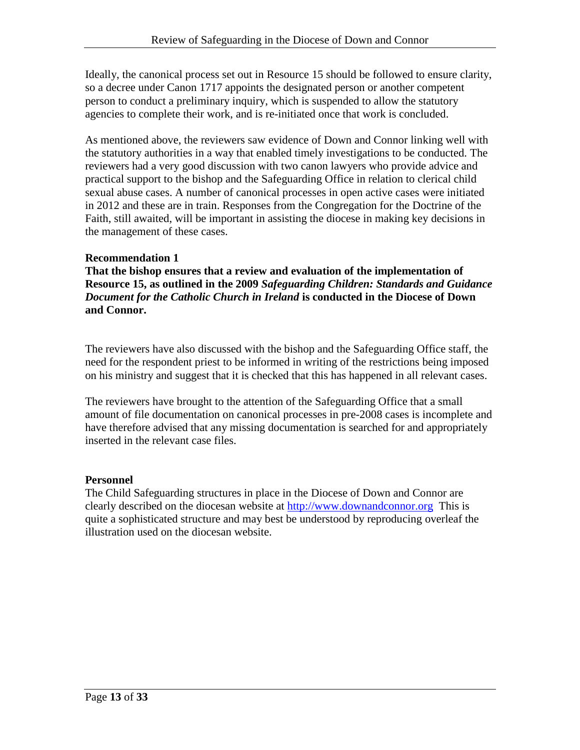Ideally, the canonical process set out in Resource 15 should be followed to ensure clarity, so a decree under Canon 1717 appoints the designated person or another competent person to conduct a preliminary inquiry, which is suspended to allow the statutory agencies to complete their work, and is re-initiated once that work is concluded.

As mentioned above, the reviewers saw evidence of Down and Connor linking well with the statutory authorities in a way that enabled timely investigations to be conducted. The reviewers had a very good discussion with two canon lawyers who provide advice and practical support to the bishop and the Safeguarding Office in relation to clerical child sexual abuse cases. A number of canonical processes in open active cases were initiated in 2012 and these are in train. Responses from the Congregation for the Doctrine of the Faith, still awaited, will be important in assisting the diocese in making key decisions in the management of these cases.

### **Recommendation 1**

**That the bishop ensures that a review and evaluation of the implementation of Resource 15, as outlined in the 2009** *Safeguarding Children: Standards and Guidance Document for the Catholic Church in Ireland* **is conducted in the Diocese of Down and Connor.** 

The reviewers have also discussed with the bishop and the Safeguarding Office staff, the need for the respondent priest to be informed in writing of the restrictions being imposed on his ministry and suggest that it is checked that this has happened in all relevant cases.

The reviewers have brought to the attention of the Safeguarding Office that a small amount of file documentation on canonical processes in pre-2008 cases is incomplete and have therefore advised that any missing documentation is searched for and appropriately inserted in the relevant case files.

### **Personnel**

The Child Safeguarding structures in place in the Diocese of Down and Connor are clearly described on the diocesan website at [http://www.downandconnor.org](http://www.downandconnor.org/) This is quite a sophisticated structure and may best be understood by reproducing overleaf the illustration used on the diocesan website.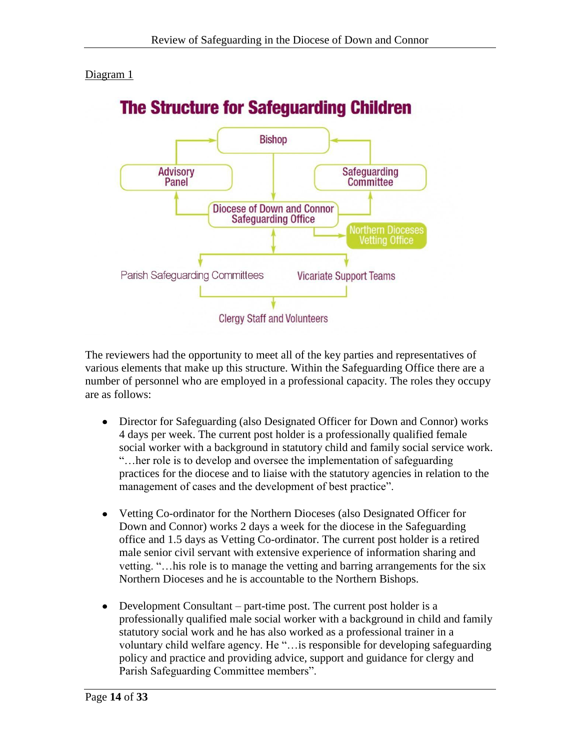### Diagram 1



The reviewers had the opportunity to meet all of the key parties and representatives of various elements that make up this structure. Within the Safeguarding Office there are a number of personnel who are employed in a professional capacity. The roles they occupy are as follows:

- Director for Safeguarding (also Designated Officer for Down and Connor) works 4 days per week. The current post holder is a professionally qualified female social worker with a background in statutory child and family social service work. "…her role is to develop and oversee the implementation of safeguarding practices for the diocese and to liaise with the statutory agencies in relation to the management of cases and the development of best practice".
- Vetting Co-ordinator for the Northern Dioceses (also Designated Officer for Down and Connor) works 2 days a week for the diocese in the Safeguarding office and 1.5 days as Vetting Co-ordinator. The current post holder is a retired male senior civil servant with extensive experience of information sharing and vetting. "…his role is to manage the vetting and barring arrangements for the six Northern Dioceses and he is accountable to the Northern Bishops.
- Development Consultant part-time post. The current post holder is a professionally qualified male social worker with a background in child and family statutory social work and he has also worked as a professional trainer in a voluntary child welfare agency. He "…is responsible for developing safeguarding policy and practice and providing advice, support and guidance for clergy and Parish Safeguarding Committee members".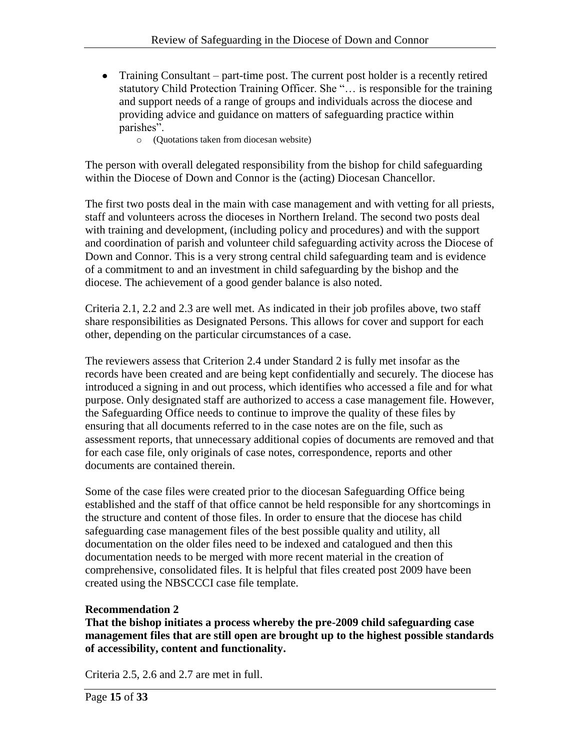- Training Consultant part-time post. The current post holder is a recently retired statutory Child Protection Training Officer. She "… is responsible for the training and support needs of a range of groups and individuals across the diocese and providing advice and guidance on matters of safeguarding practice within parishes".
	- o (Quotations taken from diocesan website)

The person with overall delegated responsibility from the bishop for child safeguarding within the Diocese of Down and Connor is the (acting) Diocesan Chancellor.

The first two posts deal in the main with case management and with vetting for all priests, staff and volunteers across the dioceses in Northern Ireland. The second two posts deal with training and development, (including policy and procedures) and with the support and coordination of parish and volunteer child safeguarding activity across the Diocese of Down and Connor. This is a very strong central child safeguarding team and is evidence of a commitment to and an investment in child safeguarding by the bishop and the diocese. The achievement of a good gender balance is also noted.

Criteria 2.1, 2.2 and 2.3 are well met. As indicated in their job profiles above, two staff share responsibilities as Designated Persons. This allows for cover and support for each other, depending on the particular circumstances of a case.

The reviewers assess that Criterion 2.4 under Standard 2 is fully met insofar as the records have been created and are being kept confidentially and securely. The diocese has introduced a signing in and out process, which identifies who accessed a file and for what purpose. Only designated staff are authorized to access a case management file. However, the Safeguarding Office needs to continue to improve the quality of these files by ensuring that all documents referred to in the case notes are on the file, such as assessment reports, that unnecessary additional copies of documents are removed and that for each case file, only originals of case notes, correspondence, reports and other documents are contained therein.

Some of the case files were created prior to the diocesan Safeguarding Office being established and the staff of that office cannot be held responsible for any shortcomings in the structure and content of those files. In order to ensure that the diocese has child safeguarding case management files of the best possible quality and utility, all documentation on the older files need to be indexed and catalogued and then this documentation needs to be merged with more recent material in the creation of comprehensive, consolidated files. It is helpful that files created post 2009 have been created using the NBSCCCI case file template.

# **Recommendation 2**

**That the bishop initiates a process whereby the pre-2009 child safeguarding case management files that are still open are brought up to the highest possible standards of accessibility, content and functionality.**

Criteria 2.5, 2.6 and 2.7 are met in full.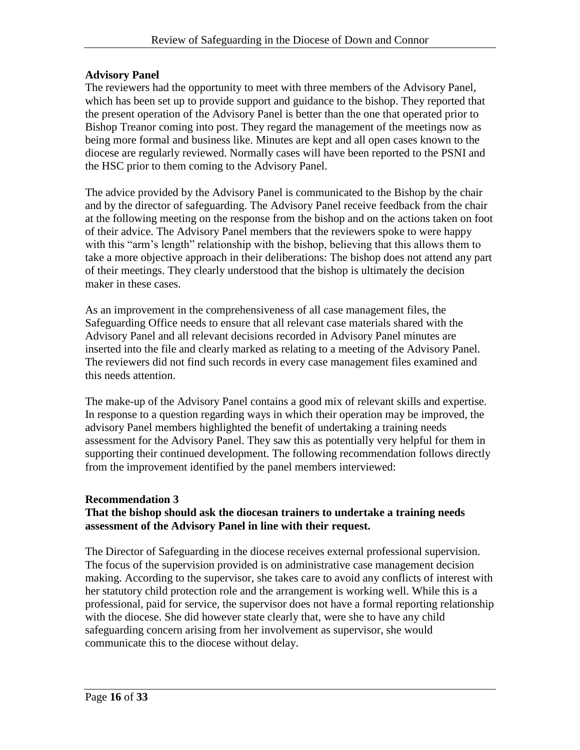### **Advisory Panel**

The reviewers had the opportunity to meet with three members of the Advisory Panel, which has been set up to provide support and guidance to the bishop. They reported that the present operation of the Advisory Panel is better than the one that operated prior to Bishop Treanor coming into post. They regard the management of the meetings now as being more formal and business like. Minutes are kept and all open cases known to the diocese are regularly reviewed. Normally cases will have been reported to the PSNI and the HSC prior to them coming to the Advisory Panel.

The advice provided by the Advisory Panel is communicated to the Bishop by the chair and by the director of safeguarding. The Advisory Panel receive feedback from the chair at the following meeting on the response from the bishop and on the actions taken on foot of their advice. The Advisory Panel members that the reviewers spoke to were happy with this "arm's length" relationship with the bishop, believing that this allows them to take a more objective approach in their deliberations: The bishop does not attend any part of their meetings. They clearly understood that the bishop is ultimately the decision maker in these cases.

As an improvement in the comprehensiveness of all case management files, the Safeguarding Office needs to ensure that all relevant case materials shared with the Advisory Panel and all relevant decisions recorded in Advisory Panel minutes are inserted into the file and clearly marked as relating to a meeting of the Advisory Panel. The reviewers did not find such records in every case management files examined and this needs attention.

The make-up of the Advisory Panel contains a good mix of relevant skills and expertise. In response to a question regarding ways in which their operation may be improved, the advisory Panel members highlighted the benefit of undertaking a training needs assessment for the Advisory Panel. They saw this as potentially very helpful for them in supporting their continued development. The following recommendation follows directly from the improvement identified by the panel members interviewed:

# **Recommendation 3**

### **That the bishop should ask the diocesan trainers to undertake a training needs assessment of the Advisory Panel in line with their request.**

The Director of Safeguarding in the diocese receives external professional supervision. The focus of the supervision provided is on administrative case management decision making. According to the supervisor, she takes care to avoid any conflicts of interest with her statutory child protection role and the arrangement is working well. While this is a professional, paid for service, the supervisor does not have a formal reporting relationship with the diocese. She did however state clearly that, were she to have any child safeguarding concern arising from her involvement as supervisor, she would communicate this to the diocese without delay.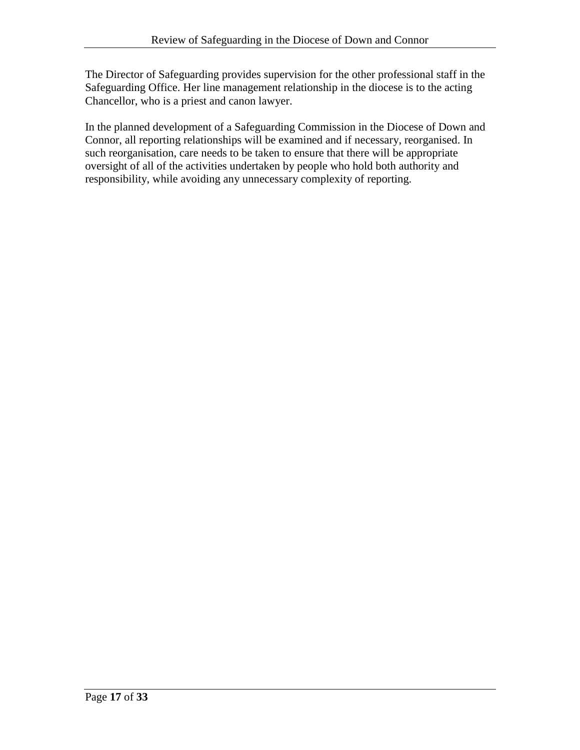The Director of Safeguarding provides supervision for the other professional staff in the Safeguarding Office. Her line management relationship in the diocese is to the acting Chancellor, who is a priest and canon lawyer.

In the planned development of a Safeguarding Commission in the Diocese of Down and Connor, all reporting relationships will be examined and if necessary, reorganised. In such reorganisation, care needs to be taken to ensure that there will be appropriate oversight of all of the activities undertaken by people who hold both authority and responsibility, while avoiding any unnecessary complexity of reporting.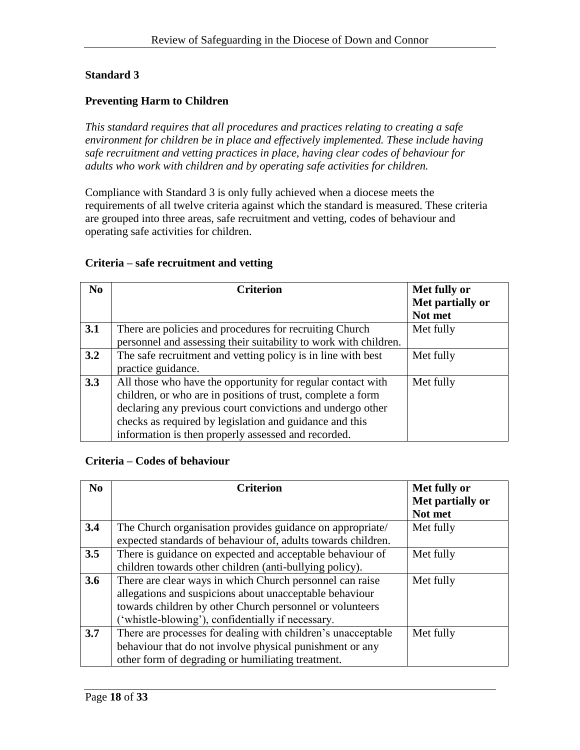### **Preventing Harm to Children**

*This standard requires that all procedures and practices relating to creating a safe environment for children be in place and effectively implemented. These include having safe recruitment and vetting practices in place, having clear codes of behaviour for adults who work with children and by operating safe activities for children.*

Compliance with Standard 3 is only fully achieved when a diocese meets the requirements of all twelve criteria against which the standard is measured. These criteria are grouped into three areas, safe recruitment and vetting, codes of behaviour and operating safe activities for children.

### **Criteria – safe recruitment and vetting**

| N <sub>0</sub> | <b>Criterion</b>                                                 | Met fully or     |
|----------------|------------------------------------------------------------------|------------------|
|                |                                                                  | Met partially or |
|                |                                                                  | Not met          |
| 3.1            | There are policies and procedures for recruiting Church          | Met fully        |
|                | personnel and assessing their suitability to work with children. |                  |
| 3.2            | The safe recruitment and vetting policy is in line with best     | Met fully        |
|                | practice guidance.                                               |                  |
| 3.3            | All those who have the opportunity for regular contact with      | Met fully        |
|                | children, or who are in positions of trust, complete a form      |                  |
|                | declaring any previous court convictions and undergo other       |                  |
|                | checks as required by legislation and guidance and this          |                  |
|                | information is then properly assessed and recorded.              |                  |

### **Criteria – Codes of behaviour**

| No  | <b>Criterion</b>                                                                                                                                                                                                                     | Met fully or<br>Met partially or<br>Not met |
|-----|--------------------------------------------------------------------------------------------------------------------------------------------------------------------------------------------------------------------------------------|---------------------------------------------|
| 3.4 | The Church organisation provides guidance on appropriate/<br>expected standards of behaviour of, adults towards children.                                                                                                            | Met fully                                   |
| 3.5 | There is guidance on expected and acceptable behaviour of<br>children towards other children (anti-bullying policy).                                                                                                                 | Met fully                                   |
| 3.6 | There are clear ways in which Church personnel can raise<br>allegations and suspicions about unacceptable behaviour<br>towards children by other Church personnel or volunteers<br>('whistle-blowing'), confidentially if necessary. | Met fully                                   |
| 3.7 | There are processes for dealing with children's unacceptable<br>behaviour that do not involve physical punishment or any<br>other form of degrading or humiliating treatment.                                                        | Met fully                                   |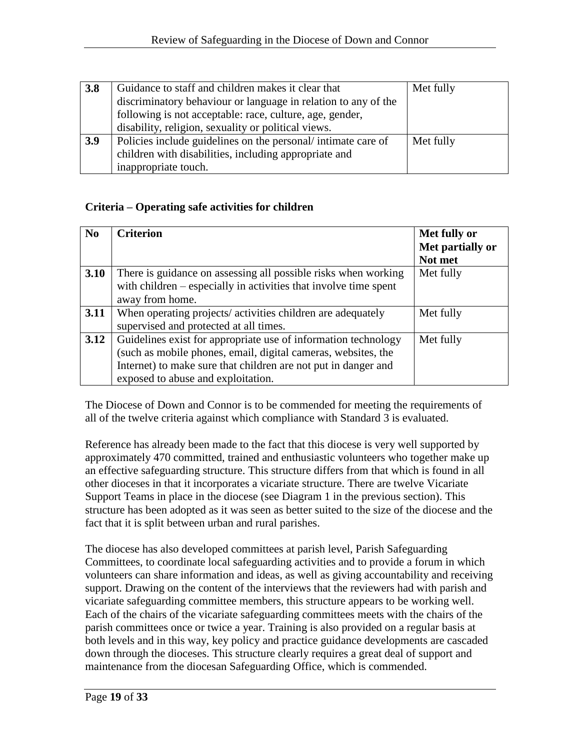| 3.8 | Guidance to staff and children makes it clear that             | Met fully |
|-----|----------------------------------------------------------------|-----------|
|     | discriminatory behaviour or language in relation to any of the |           |
|     | following is not acceptable: race, culture, age, gender,       |           |
|     | disability, religion, sexuality or political views.            |           |
| 3.9 | Policies include guidelines on the personal/intimate care of   | Met fully |
|     | children with disabilities, including appropriate and          |           |
|     | inappropriate touch.                                           |           |

# **Criteria – Operating safe activities for children**

| N <sub>0</sub> | <b>Criterion</b>                                                 | Met fully or     |
|----------------|------------------------------------------------------------------|------------------|
|                |                                                                  | Met partially or |
|                |                                                                  | Not met          |
| 3.10           | There is guidance on assessing all possible risks when working   | Met fully        |
|                | with children – especially in activities that involve time spent |                  |
|                | away from home.                                                  |                  |
| 3.11           | When operating projects/ activities children are adequately      | Met fully        |
|                | supervised and protected at all times.                           |                  |
| 3.12           | Guidelines exist for appropriate use of information technology   | Met fully        |
|                | (such as mobile phones, email, digital cameras, websites, the    |                  |
|                | Internet) to make sure that children are not put in danger and   |                  |
|                | exposed to abuse and exploitation.                               |                  |

The Diocese of Down and Connor is to be commended for meeting the requirements of all of the twelve criteria against which compliance with Standard 3 is evaluated.

Reference has already been made to the fact that this diocese is very well supported by approximately 470 committed, trained and enthusiastic volunteers who together make up an effective safeguarding structure. This structure differs from that which is found in all other dioceses in that it incorporates a vicariate structure. There are twelve Vicariate Support Teams in place in the diocese (see Diagram 1 in the previous section). This structure has been adopted as it was seen as better suited to the size of the diocese and the fact that it is split between urban and rural parishes.

The diocese has also developed committees at parish level, Parish Safeguarding Committees, to coordinate local safeguarding activities and to provide a forum in which volunteers can share information and ideas, as well as giving accountability and receiving support. Drawing on the content of the interviews that the reviewers had with parish and vicariate safeguarding committee members, this structure appears to be working well. Each of the chairs of the vicariate safeguarding committees meets with the chairs of the parish committees once or twice a year. Training is also provided on a regular basis at both levels and in this way, key policy and practice guidance developments are cascaded down through the dioceses. This structure clearly requires a great deal of support and maintenance from the diocesan Safeguarding Office, which is commended.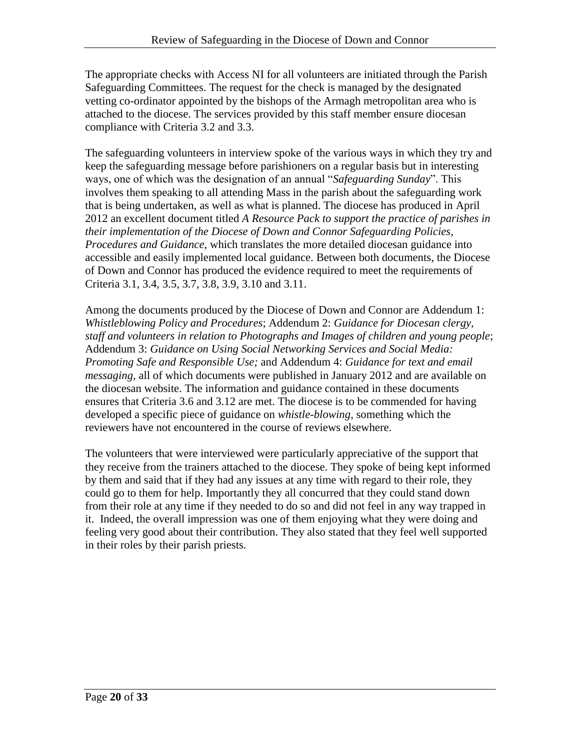The appropriate checks with Access NI for all volunteers are initiated through the Parish Safeguarding Committees. The request for the check is managed by the designated vetting co-ordinator appointed by the bishops of the Armagh metropolitan area who is attached to the diocese. The services provided by this staff member ensure diocesan compliance with Criteria 3.2 and 3.3.

The safeguarding volunteers in interview spoke of the various ways in which they try and keep the safeguarding message before parishioners on a regular basis but in interesting ways, one of which was the designation of an annual "*Safeguarding Sunday*". This involves them speaking to all attending Mass in the parish about the safeguarding work that is being undertaken, as well as what is planned. The diocese has produced in April 2012 an excellent document titled *A Resource Pack to support the practice of parishes in their implementation of the Diocese of Down and Connor Safeguarding Policies, Procedures and Guidance*, which translates the more detailed diocesan guidance into accessible and easily implemented local guidance. Between both documents, the Diocese of Down and Connor has produced the evidence required to meet the requirements of Criteria 3.1, 3.4, 3.5, 3.7, 3.8, 3.9, 3.10 and 3.11.

Among the documents produced by the Diocese of Down and Connor are Addendum 1: *Whistleblowing Policy and Procedures*; Addendum 2: *Guidance for Diocesan clergy, staff and volunteers in relation to Photographs and Images of children and young people*; Addendum 3: *Guidance on Using Social Networking Services and Social Media: Promoting Safe and Responsible Use;* and Addendum 4: *Guidance for text and email messaging,* all of which documents were published in January 2012 and are available on the diocesan website. The information and guidance contained in these documents ensures that Criteria 3.6 and 3.12 are met. The diocese is to be commended for having developed a specific piece of guidance on *whistle-blowing*, something which the reviewers have not encountered in the course of reviews elsewhere.

The volunteers that were interviewed were particularly appreciative of the support that they receive from the trainers attached to the diocese. They spoke of being kept informed by them and said that if they had any issues at any time with regard to their role, they could go to them for help. Importantly they all concurred that they could stand down from their role at any time if they needed to do so and did not feel in any way trapped in it. Indeed, the overall impression was one of them enjoying what they were doing and feeling very good about their contribution. They also stated that they feel well supported in their roles by their parish priests.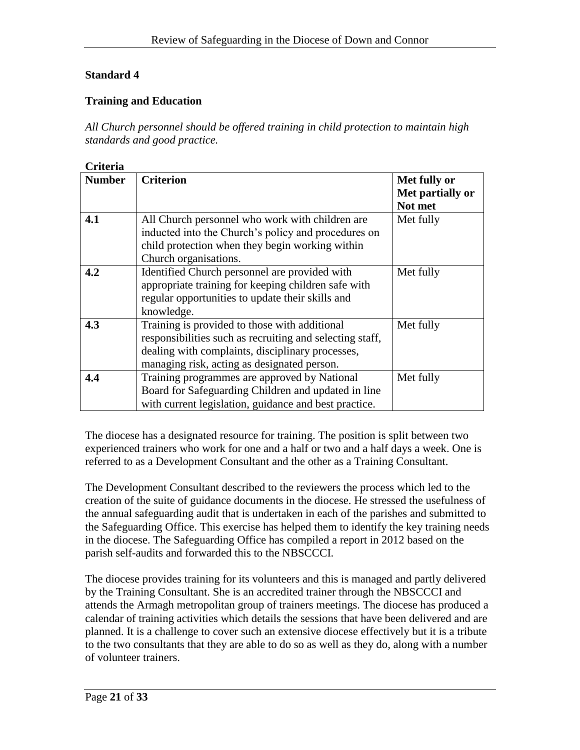# **Training and Education**

*All Church personnel should be offered training in child protection to maintain high standards and good practice.*

# **Criteria**

| <b>Number</b> | <b>Criterion</b>                                         | Met fully or     |
|---------------|----------------------------------------------------------|------------------|
|               |                                                          | Met partially or |
|               |                                                          | Not met          |
| 4.1           | All Church personnel who work with children are          | Met fully        |
|               | inducted into the Church's policy and procedures on      |                  |
|               | child protection when they begin working within          |                  |
|               | Church organisations.                                    |                  |
| 4.2           | Identified Church personnel are provided with            | Met fully        |
|               | appropriate training for keeping children safe with      |                  |
|               | regular opportunities to update their skills and         |                  |
|               | knowledge.                                               |                  |
| 4.3           | Training is provided to those with additional            | Met fully        |
|               | responsibilities such as recruiting and selecting staff, |                  |
|               | dealing with complaints, disciplinary processes,         |                  |
|               | managing risk, acting as designated person.              |                  |
| 4.4           | Training programmes are approved by National             | Met fully        |
|               | Board for Safeguarding Children and updated in line      |                  |
|               | with current legislation, guidance and best practice.    |                  |

The diocese has a designated resource for training. The position is split between two experienced trainers who work for one and a half or two and a half days a week. One is referred to as a Development Consultant and the other as a Training Consultant.

The Development Consultant described to the reviewers the process which led to the creation of the suite of guidance documents in the diocese. He stressed the usefulness of the annual safeguarding audit that is undertaken in each of the parishes and submitted to the Safeguarding Office. This exercise has helped them to identify the key training needs in the diocese. The Safeguarding Office has compiled a report in 2012 based on the parish self-audits and forwarded this to the NBSCCCI.

The diocese provides training for its volunteers and this is managed and partly delivered by the Training Consultant. She is an accredited trainer through the NBSCCCI and attends the Armagh metropolitan group of trainers meetings. The diocese has produced a calendar of training activities which details the sessions that have been delivered and are planned. It is a challenge to cover such an extensive diocese effectively but it is a tribute to the two consultants that they are able to do so as well as they do, along with a number of volunteer trainers.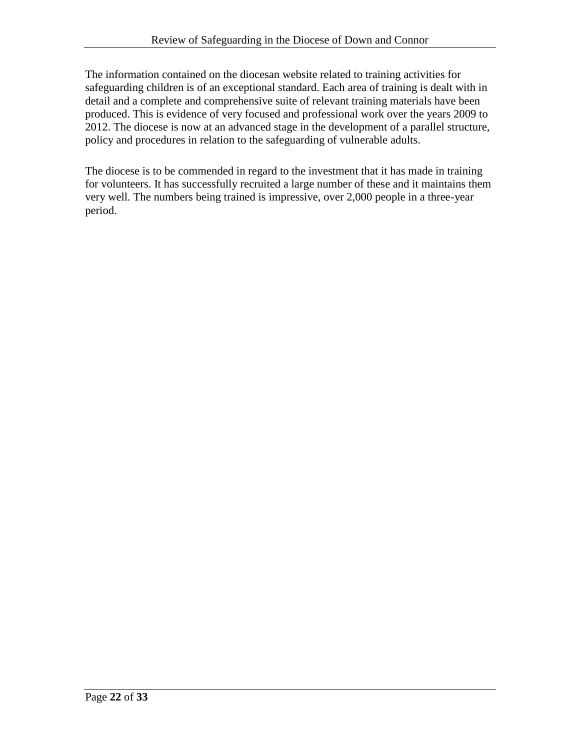The information contained on the diocesan website related to training activities for safeguarding children is of an exceptional standard. Each area of training is dealt with in detail and a complete and comprehensive suite of relevant training materials have been produced. This is evidence of very focused and professional work over the years 2009 to 2012. The diocese is now at an advanced stage in the development of a parallel structure, policy and procedures in relation to the safeguarding of vulnerable adults.

The diocese is to be commended in regard to the investment that it has made in training for volunteers. It has successfully recruited a large number of these and it maintains them very well. The numbers being trained is impressive, over 2,000 people in a three-year period.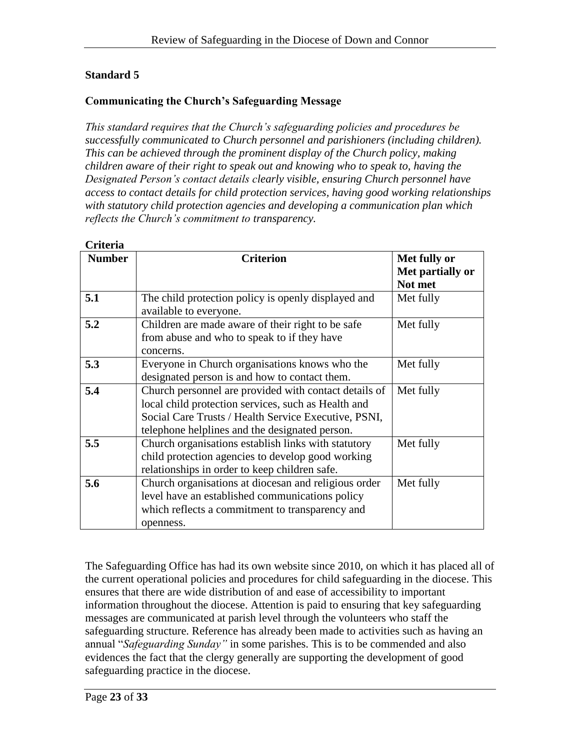# **Communicating the Church's Safeguarding Message**

*This standard requires that the Church's safeguarding policies and procedures be successfully communicated to Church personnel and parishioners (including children). This can be achieved through the prominent display of the Church policy, making children aware of their right to speak out and knowing who to speak to, having the Designated Person's contact details clearly visible, ensuring Church personnel have access to contact details for child protection services, having good working relationships with statutory child protection agencies and developing a communication plan which reflects the Church's commitment to transparency.*

| <b>Number</b> | <b>Criterion</b>                                      | Met fully or     |
|---------------|-------------------------------------------------------|------------------|
|               |                                                       | Met partially or |
|               |                                                       | Not met          |
| 5.1           | The child protection policy is openly displayed and   | Met fully        |
|               | available to everyone.                                |                  |
| 5.2           | Children are made aware of their right to be safe     | Met fully        |
|               | from abuse and who to speak to if they have           |                  |
|               | concerns.                                             |                  |
| 5.3           | Everyone in Church organisations knows who the        | Met fully        |
|               | designated person is and how to contact them.         |                  |
| 5.4           | Church personnel are provided with contact details of | Met fully        |
|               | local child protection services, such as Health and   |                  |
|               | Social Care Trusts / Health Service Executive, PSNI,  |                  |
|               | telephone helplines and the designated person.        |                  |
| 5.5           | Church organisations establish links with statutory   | Met fully        |
|               | child protection agencies to develop good working     |                  |
|               | relationships in order to keep children safe.         |                  |
| 5.6           | Church organisations at diocesan and religious order  | Met fully        |
|               | level have an established communications policy       |                  |
|               | which reflects a commitment to transparency and       |                  |
|               | openness.                                             |                  |

### **Criteria**

The Safeguarding Office has had its own website since 2010, on which it has placed all of the current operational policies and procedures for child safeguarding in the diocese. This ensures that there are wide distribution of and ease of accessibility to important information throughout the diocese. Attention is paid to ensuring that key safeguarding messages are communicated at parish level through the volunteers who staff the safeguarding structure. Reference has already been made to activities such as having an annual "*Safeguarding Sunday"* in some parishes. This is to be commended and also evidences the fact that the clergy generally are supporting the development of good safeguarding practice in the diocese.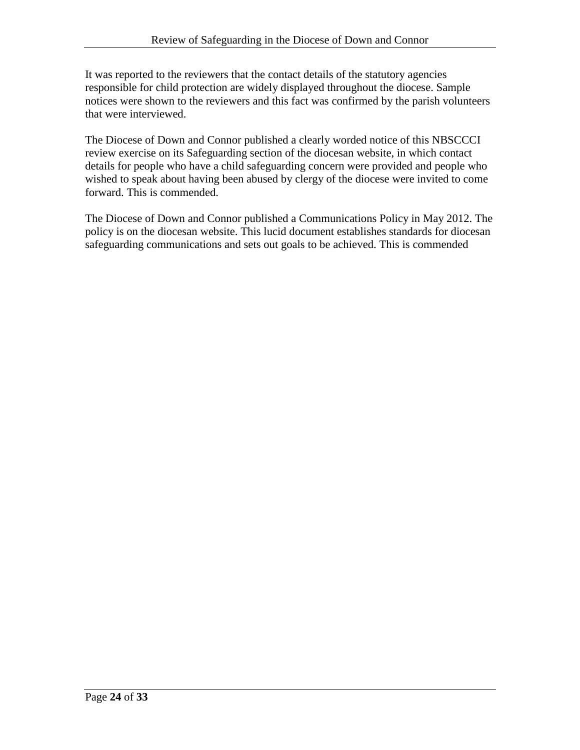It was reported to the reviewers that the contact details of the statutory agencies responsible for child protection are widely displayed throughout the diocese. Sample notices were shown to the reviewers and this fact was confirmed by the parish volunteers that were interviewed.

The Diocese of Down and Connor published a clearly worded notice of this NBSCCCI review exercise on its Safeguarding section of the diocesan website, in which contact details for people who have a child safeguarding concern were provided and people who wished to speak about having been abused by clergy of the diocese were invited to come forward. This is commended.

The Diocese of Down and Connor published a Communications Policy in May 2012. The policy is on the diocesan website. This lucid document establishes standards for diocesan safeguarding communications and sets out goals to be achieved. This is commended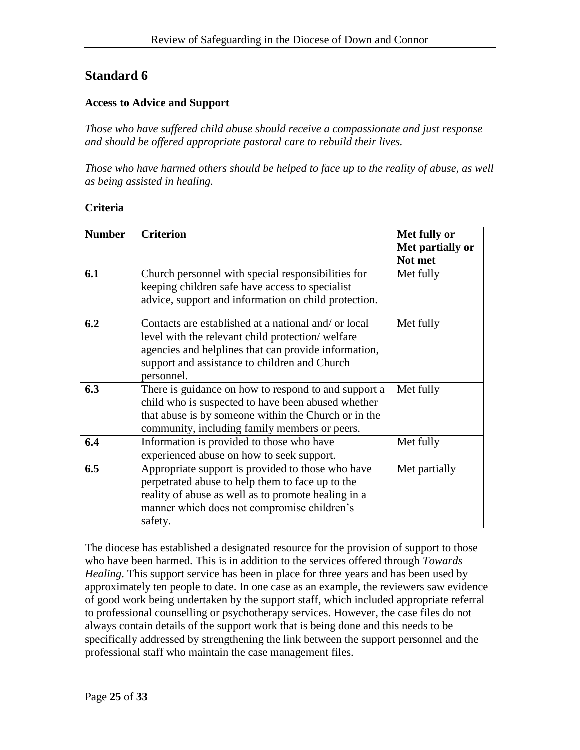### **Access to Advice and Support**

*Those who have suffered child abuse should receive a compassionate and just response and should be offered appropriate pastoral care to rebuild their lives.*

*Those who have harmed others should be helped to face up to the reality of abuse, as well as being assisted in healing.*

### **Criteria**

| <b>Number</b> | <b>Criterion</b>                                                                                                                                                                                                                | Met fully or<br>Met partially or<br>Not met |
|---------------|---------------------------------------------------------------------------------------------------------------------------------------------------------------------------------------------------------------------------------|---------------------------------------------|
| 6.1           | Church personnel with special responsibilities for<br>keeping children safe have access to specialist<br>advice, support and information on child protection.                                                                   | Met fully                                   |
| 6.2           | Contacts are established at a national and/ or local<br>level with the relevant child protection/welfare<br>agencies and helplines that can provide information,<br>support and assistance to children and Church<br>personnel. | Met fully                                   |
| 6.3           | There is guidance on how to respond to and support a<br>child who is suspected to have been abused whether<br>that abuse is by someone within the Church or in the<br>community, including family members or peers.             | Met fully                                   |
| 6.4           | Information is provided to those who have<br>experienced abuse on how to seek support.                                                                                                                                          | Met fully                                   |
| 6.5           | Appropriate support is provided to those who have<br>perpetrated abuse to help them to face up to the<br>reality of abuse as well as to promote healing in a<br>manner which does not compromise children's<br>safety.          | Met partially                               |

The diocese has established a designated resource for the provision of support to those who have been harmed. This is in addition to the services offered through *Towards Healing*. This support service has been in place for three years and has been used by approximately ten people to date. In one case as an example, the reviewers saw evidence of good work being undertaken by the support staff, which included appropriate referral to professional counselling or psychotherapy services. However, the case files do not always contain details of the support work that is being done and this needs to be specifically addressed by strengthening the link between the support personnel and the professional staff who maintain the case management files.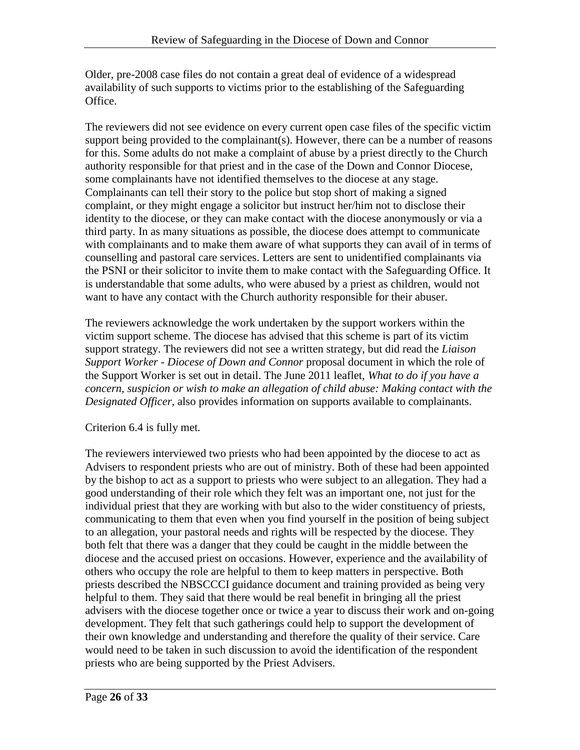Older, pre-2008 case files do not contain a great deal of evidence of a widespread availability of such supports to victims prior to the establishing of the Safeguarding Office.

The reviewers did not see evidence on every current open case files of the specific victim support being provided to the complainant(s). However, there can be a number of reasons for this. Some adults do not make a complaint of abuse by a priest directly to the Church authority responsible for that priest and in the case of the Down and Connor Diocese, some complainants have not identified themselves to the diocese at any stage. Complainants can tell their story to the police but stop short of making a signed complaint, or they might engage a solicitor but instruct her/him not to disclose their identity to the diocese, or they can make contact with the diocese anonymously or via a third party. In as many situations as possible, the diocese does attempt to communicate with complainants and to make them aware of what supports they can avail of in terms of counselling and pastoral care services. Letters are sent to unidentified complainants via the PSNI or their solicitor to invite them to make contact with the Safeguarding Office. It is understandable that some adults, who were abused by a priest as children, would not want to have any contact with the Church authority responsible for their abuser.

The reviewers acknowledge the work undertaken by the support workers within the victim support scheme. The diocese has advised that this scheme is part of its victim support strategy. The reviewers did not see a written strategy, but did read the *Liaison Support Worker - Diocese of Down and Connor* proposal document in which the role of the Support Worker is set out in detail. The June 2011 leaflet, *What to do if you have a concern, suspicion or wish to make an allegation of child abuse: Making contact with the Designated Officer*, also provides information on supports available to complainants.

### Criterion 6.4 is fully met*.*

The reviewers interviewed two priests who had been appointed by the diocese to act as Advisers to respondent priests who are out of ministry. Both of these had been appointed by the bishop to act as a support to priests who were subject to an allegation. They had a good understanding of their role which they felt was an important one, not just for the individual priest that they are working with but also to the wider constituency of priests, communicating to them that even when you find yourself in the position of being subject to an allegation, your pastoral needs and rights will be respected by the diocese. They both felt that there was a danger that they could be caught in the middle between the diocese and the accused priest on occasions. However, experience and the availability of others who occupy the role are helpful to them to keep matters in perspective. Both priests described the NBSCCCI guidance document and training provided as being very helpful to them. They said that there would be real benefit in bringing all the priest advisers with the diocese together once or twice a year to discuss their work and on-going development. They felt that such gatherings could help to support the development of their own knowledge and understanding and therefore the quality of their service. Care would need to be taken in such discussion to avoid the identification of the respondent priests who are being supported by the Priest Advisers.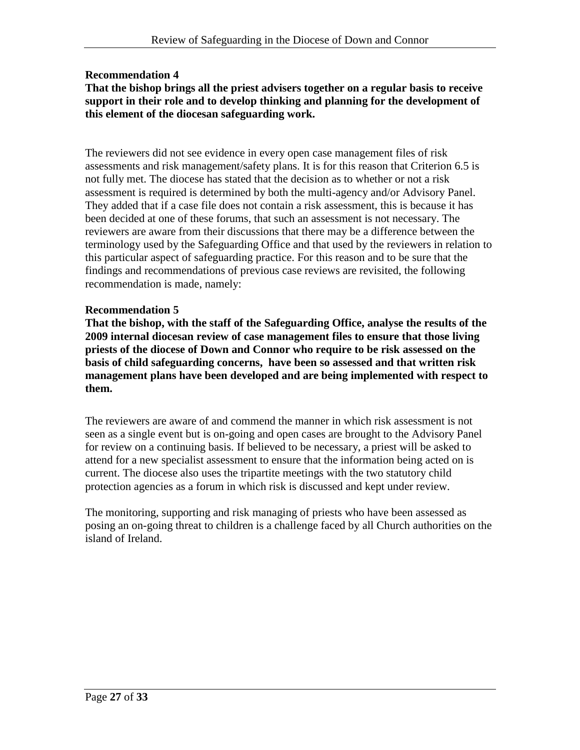# **Recommendation 4**

### **That the bishop brings all the priest advisers together on a regular basis to receive support in their role and to develop thinking and planning for the development of this element of the diocesan safeguarding work.**

The reviewers did not see evidence in every open case management files of risk assessments and risk management/safety plans. It is for this reason that Criterion 6.5 is not fully met. The diocese has stated that the decision as to whether or not a risk assessment is required is determined by both the multi-agency and/or Advisory Panel. They added that if a case file does not contain a risk assessment, this is because it has been decided at one of these forums, that such an assessment is not necessary. The reviewers are aware from their discussions that there may be a difference between the terminology used by the Safeguarding Office and that used by the reviewers in relation to this particular aspect of safeguarding practice. For this reason and to be sure that the findings and recommendations of previous case reviews are revisited, the following recommendation is made, namely:

### **Recommendation 5**

**That the bishop, with the staff of the Safeguarding Office, analyse the results of the 2009 internal diocesan review of case management files to ensure that those living priests of the diocese of Down and Connor who require to be risk assessed on the basis of child safeguarding concerns, have been so assessed and that written risk management plans have been developed and are being implemented with respect to them.**

The reviewers are aware of and commend the manner in which risk assessment is not seen as a single event but is on-going and open cases are brought to the Advisory Panel for review on a continuing basis. If believed to be necessary, a priest will be asked to attend for a new specialist assessment to ensure that the information being acted on is current. The diocese also uses the tripartite meetings with the two statutory child protection agencies as a forum in which risk is discussed and kept under review.

The monitoring, supporting and risk managing of priests who have been assessed as posing an on-going threat to children is a challenge faced by all Church authorities on the island of Ireland.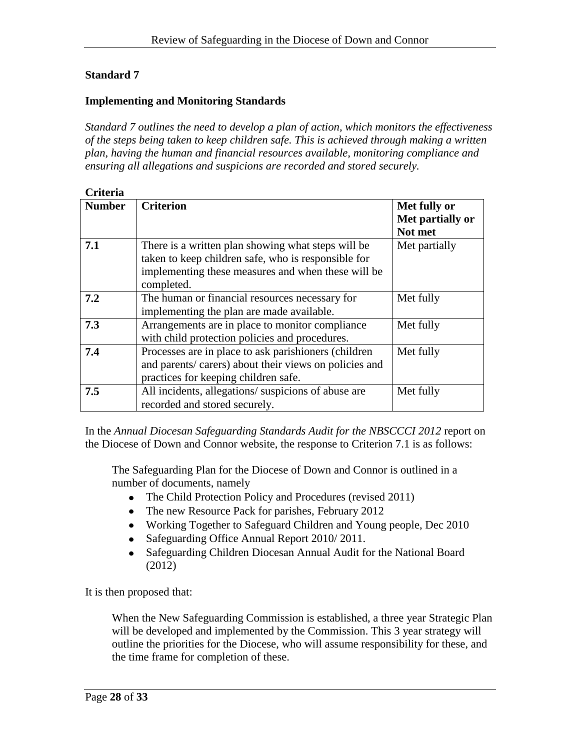### **Implementing and Monitoring Standards**

*Standard 7 outlines the need to develop a plan of action, which monitors the effectiveness of the steps being taken to keep children safe. This is achieved through making a written plan, having the human and financial resources available, monitoring compliance and ensuring all allegations and suspicions are recorded and stored securely.*

| <b>Criteria</b> |  |
|-----------------|--|
|                 |  |

| СПІСНА        |                                                                                                                                                                               |                                             |  |  |
|---------------|-------------------------------------------------------------------------------------------------------------------------------------------------------------------------------|---------------------------------------------|--|--|
| <b>Number</b> | <b>Criterion</b>                                                                                                                                                              | Met fully or<br>Met partially or<br>Not met |  |  |
| 7.1           | There is a written plan showing what steps will be<br>taken to keep children safe, who is responsible for<br>implementing these measures and when these will be<br>completed. | Met partially                               |  |  |
| 7.2           | The human or financial resources necessary for<br>implementing the plan are made available.                                                                                   | Met fully                                   |  |  |
| 7.3           | Arrangements are in place to monitor compliance<br>with child protection policies and procedures.                                                                             | Met fully                                   |  |  |
| 7.4           | Processes are in place to ask parishioners (children<br>and parents/ carers) about their views on policies and<br>practices for keeping children safe.                        | Met fully                                   |  |  |
| 7.5           | All incidents, allegations/suspicions of abuse are<br>recorded and stored securely.                                                                                           | Met fully                                   |  |  |

In the *Annual Diocesan Safeguarding Standards Audit for the NBSCCCI 2012* report on the Diocese of Down and Connor website, the response to Criterion 7.1 is as follows:

The Safeguarding Plan for the Diocese of Down and Connor is outlined in a number of documents, namely

- The Child Protection Policy and Procedures (revised 2011)
- The new Resource Pack for parishes, February 2012
- Working Together to Safeguard Children and Young people, Dec 2010
- Safeguarding Office Annual Report 2010/2011.
- Safeguarding Children Diocesan Annual Audit for the National Board  $\bullet$ (2012)

It is then proposed that:

When the New Safeguarding Commission is established, a three year Strategic Plan will be developed and implemented by the Commission. This 3 year strategy will outline the priorities for the Diocese, who will assume responsibility for these, and the time frame for completion of these.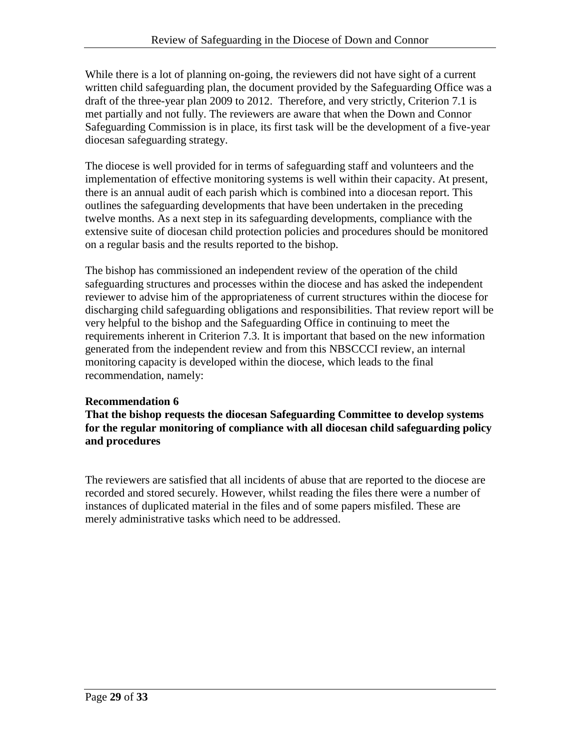While there is a lot of planning on-going, the reviewers did not have sight of a current written child safeguarding plan, the document provided by the Safeguarding Office was a draft of the three-year plan 2009 to 2012. Therefore, and very strictly, Criterion 7.1 is met partially and not fully. The reviewers are aware that when the Down and Connor Safeguarding Commission is in place, its first task will be the development of a five-year diocesan safeguarding strategy.

The diocese is well provided for in terms of safeguarding staff and volunteers and the implementation of effective monitoring systems is well within their capacity. At present, there is an annual audit of each parish which is combined into a diocesan report. This outlines the safeguarding developments that have been undertaken in the preceding twelve months. As a next step in its safeguarding developments, compliance with the extensive suite of diocesan child protection policies and procedures should be monitored on a regular basis and the results reported to the bishop.

The bishop has commissioned an independent review of the operation of the child safeguarding structures and processes within the diocese and has asked the independent reviewer to advise him of the appropriateness of current structures within the diocese for discharging child safeguarding obligations and responsibilities. That review report will be very helpful to the bishop and the Safeguarding Office in continuing to meet the requirements inherent in Criterion 7.3. It is important that based on the new information generated from the independent review and from this NBSCCCI review, an internal monitoring capacity is developed within the diocese, which leads to the final recommendation, namely:

### **Recommendation 6**

**That the bishop requests the diocesan Safeguarding Committee to develop systems for the regular monitoring of compliance with all diocesan child safeguarding policy and procedures**

The reviewers are satisfied that all incidents of abuse that are reported to the diocese are recorded and stored securely. However, whilst reading the files there were a number of instances of duplicated material in the files and of some papers misfiled. These are merely administrative tasks which need to be addressed.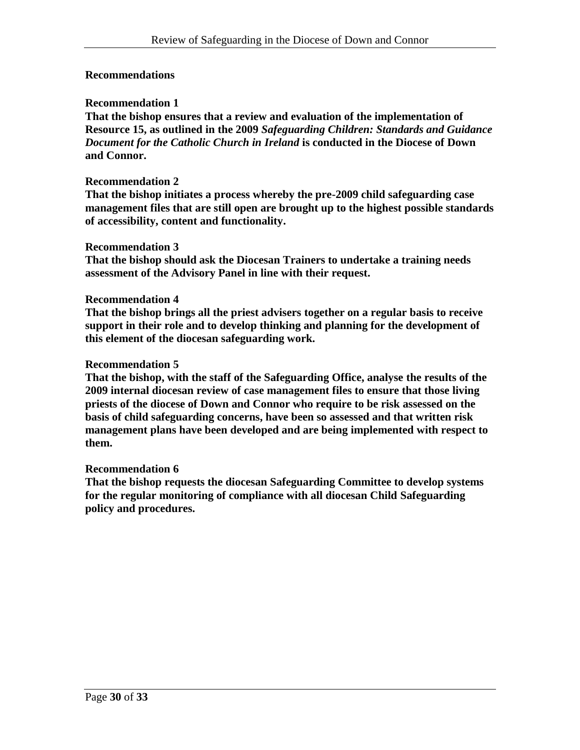### **Recommendations**

### **Recommendation 1**

**That the bishop ensures that a review and evaluation of the implementation of Resource 15, as outlined in the 2009** *Safeguarding Children: Standards and Guidance Document for the Catholic Church in Ireland* **is conducted in the Diocese of Down and Connor.** 

#### **Recommendation 2**

**That the bishop initiates a process whereby the pre-2009 child safeguarding case management files that are still open are brought up to the highest possible standards of accessibility, content and functionality.**

#### **Recommendation 3**

**That the bishop should ask the Diocesan Trainers to undertake a training needs assessment of the Advisory Panel in line with their request.**

#### **Recommendation 4**

**That the bishop brings all the priest advisers together on a regular basis to receive support in their role and to develop thinking and planning for the development of this element of the diocesan safeguarding work.** 

#### **Recommendation 5**

**That the bishop, with the staff of the Safeguarding Office, analyse the results of the 2009 internal diocesan review of case management files to ensure that those living priests of the diocese of Down and Connor who require to be risk assessed on the basis of child safeguarding concerns, have been so assessed and that written risk management plans have been developed and are being implemented with respect to them.**

### **Recommendation 6**

**That the bishop requests the diocesan Safeguarding Committee to develop systems for the regular monitoring of compliance with all diocesan Child Safeguarding policy and procedures.**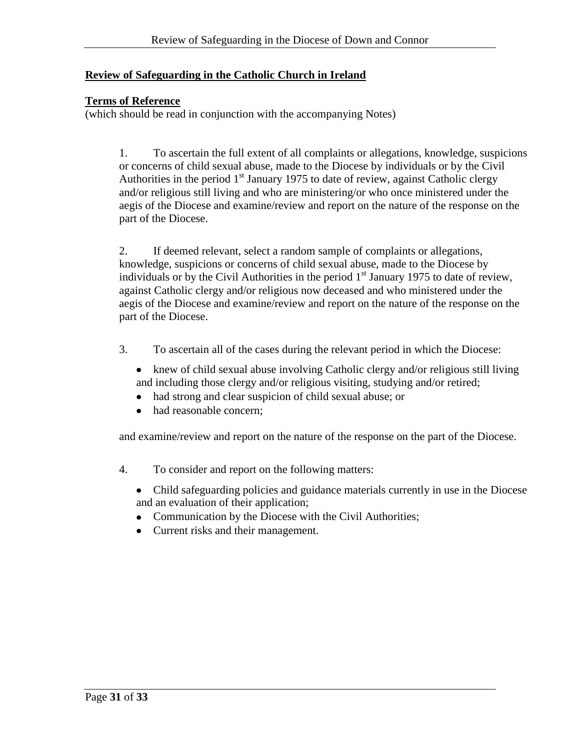# **Review of Safeguarding in the Catholic Church in Ireland**

### **Terms of Reference**

(which should be read in conjunction with the accompanying Notes)

1. To ascertain the full extent of all complaints or allegations, knowledge, suspicions or concerns of child sexual abuse, made to the Diocese by individuals or by the Civil Authorities in the period  $1<sup>st</sup>$  January 1975 to date of review, against Catholic clergy and/or religious still living and who are ministering/or who once ministered under the aegis of the Diocese and examine/review and report on the nature of the response on the part of the Diocese.

2. If deemed relevant, select a random sample of complaints or allegations, knowledge, suspicions or concerns of child sexual abuse, made to the Diocese by individuals or by the Civil Authorities in the period  $1<sup>st</sup>$  January 1975 to date of review, against Catholic clergy and/or religious now deceased and who ministered under the aegis of the Diocese and examine/review and report on the nature of the response on the part of the Diocese.

- 3. To ascertain all of the cases during the relevant period in which the Diocese:
	- knew of child sexual abuse involving Catholic clergy and/or religious still living and including those clergy and/or religious visiting, studying and/or retired;
	- had strong and clear suspicion of child sexual abuse; or  $\bullet$
	- had reasonable concern;

and examine/review and report on the nature of the response on the part of the Diocese.

- 4. To consider and report on the following matters:
	- Child safeguarding policies and guidance materials currently in use in the Diocese and an evaluation of their application;
	- Communication by the Diocese with the Civil Authorities;
	- Current risks and their management.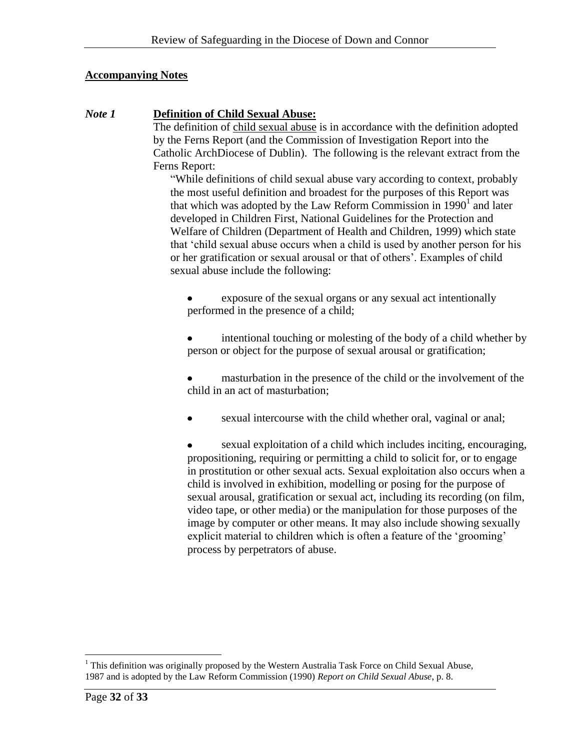### **Accompanying Notes**

### *Note 1* **Definition of Child Sexual Abuse:**

The definition of child sexual abuse is in accordance with the definition adopted by the Ferns Report (and the Commission of Investigation Report into the Catholic ArchDiocese of Dublin). The following is the relevant extract from the Ferns Report:

"While definitions of child sexual abuse vary according to context, probably the most useful definition and broadest for the purposes of this Report was that which was adopted by the Law Reform Commission in  $1990<sup>1</sup>$  and later developed in Children First, National Guidelines for the Protection and Welfare of Children (Department of Health and Children, 1999) which state that 'child sexual abuse occurs when a child is used by another person for his or her gratification or sexual arousal or that of others'. Examples of child sexual abuse include the following:

exposure of the sexual organs or any sexual act intentionally performed in the presence of a child;

intentional touching or molesting of the body of a child whether by person or object for the purpose of sexual arousal or gratification;

masturbation in the presence of the child or the involvement of the child in an act of masturbation;

sexual intercourse with the child whether oral, vaginal or anal;

sexual exploitation of a child which includes inciting, encouraging, propositioning, requiring or permitting a child to solicit for, or to engage in prostitution or other sexual acts. Sexual exploitation also occurs when a child is involved in exhibition, modelling or posing for the purpose of sexual arousal, gratification or sexual act, including its recording (on film, video tape, or other media) or the manipulation for those purposes of the image by computer or other means. It may also include showing sexually explicit material to children which is often a feature of the 'grooming' process by perpetrators of abuse.

 $\overline{a}$ <sup>1</sup> This definition was originally proposed by the Western Australia Task Force on Child Sexual Abuse, 1987 and is adopted by the Law Reform Commission (1990) *Report on Child Sexual Abuse*, p. 8.